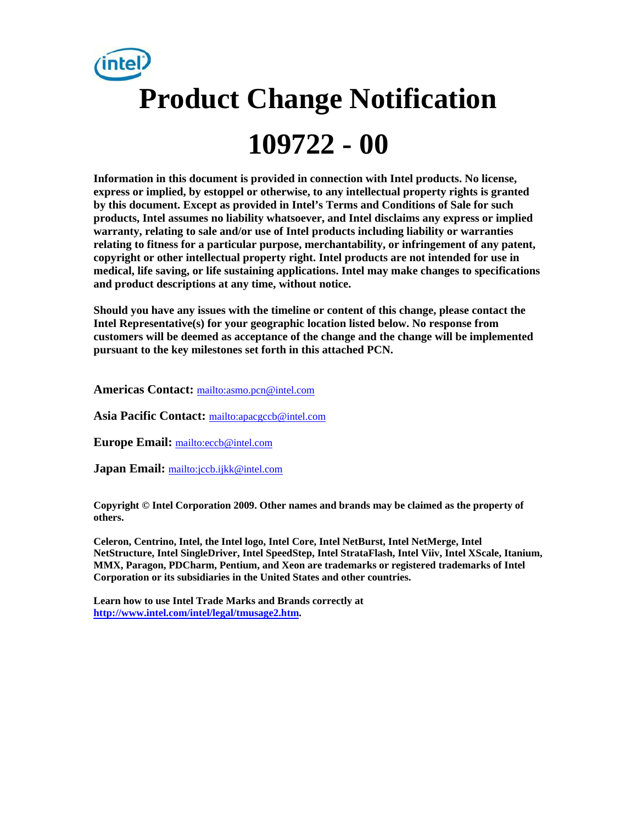

**Information in this document is provided in connection with Intel products. No license, express or implied, by estoppel or otherwise, to any intellectual property rights is granted by this document. Except as provided in Intel's Terms and Conditions of Sale for such products, Intel assumes no liability whatsoever, and Intel disclaims any express or implied warranty, relating to sale and/or use of Intel products including liability or warranties relating to fitness for a particular purpose, merchantability, or infringement of any patent, copyright or other intellectual property right. Intel products are not intended for use in medical, life saving, or life sustaining applications. Intel may make changes to specifications and product descriptions at any time, without notice.** 

**Should you have any issues with the timeline or content of this change, please contact the Intel Representative(s) for your geographic location listed below. No response from customers will be deemed as acceptance of the change and the change will be implemented pursuant to the key milestones set forth in this attached PCN.** 

**Americas Contact:** <mailto:asmo.pcn@intel.com>

**Asia Pacific Contact:** <mailto:apacgccb@intel.com>

**Europe Email:** <mailto:eccb@intel.com>

**Japan Email:** <mailto:jccb.ijkk@intel.com>

**Copyright © Intel Corporation 2009. Other names and brands may be claimed as the property of others.**

**Celeron, Centrino, Intel, the Intel logo, Intel Core, Intel NetBurst, Intel NetMerge, Intel NetStructure, Intel SingleDriver, Intel SpeedStep, Intel StrataFlash, Intel Viiv, Intel XScale, Itanium, MMX, Paragon, PDCharm, Pentium, and Xeon are trademarks or registered trademarks of Intel Corporation or its subsidiaries in the United States and other countries.** 

**Learn how to use Intel Trade Marks and Brands correctly at [http://www.intel.com/intel/legal/tmusage2.htm.](http://www.intel.com/intel/legal/tmusage2.htm)**